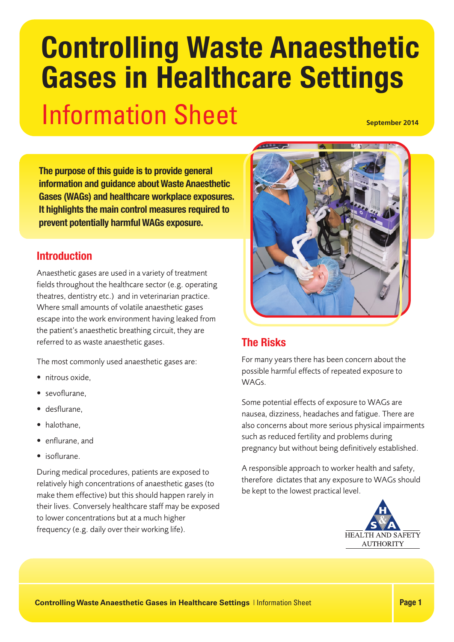# Information Sheet **Controlling Waste Anaesthetic Gases in Healthcare Settings September 2014**

**The purpose of this guide is to provide general information and guidance about Waste Anaesthetic Gases (WAGs) and healthcare workplace exposures. It highlights the main control measures required to prevent potentially harmful WAGs exposure.**

## **Introduction**

Anaesthetic gases are used in a variety of treatment fields throughout the healthcare sector (e.g. operating theatres, dentistry etc.) and in veterinarian practice. Where small amounts of volatile anaesthetic gases escape into the work environment having leaked from the patient's anaesthetic breathing circuit, they are referred to as waste anaesthetic gases.

The most commonly used anaesthetic gases are:

- nitrous oxide,
- sevoflurane,
- desflurane,
- halothane.
- enflurane, and
- isoflurane.

During medical procedures, patients are exposed to relatively high concentrations of anaesthetic gases (to make them effective) but this should happen rarely in their lives. Conversely healthcare staff may be exposed to lower concentrations but at a much higher frequency (e.g. daily over their working life).



## **The Risks**

For many years there has been concern about the possible harmful effects of repeated exposure to WAGs.

Some potential effects of exposure to WAGs are nausea, dizziness, headaches and fatigue. There are also concerns about more serious physical impairments such as reduced fertility and problems during pregnancy but without being definitively established.

A responsible approach to worker health and safety, therefore dictates that any exposure to WAGs should be kept to the lowest practical level.

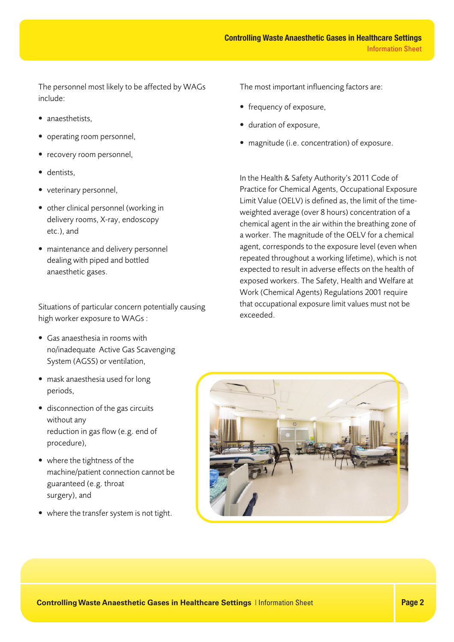The personnel most likely to be affected by WAGs include:

- anaesthetists.
- operating room personnel,
- recovery room personnel,
- dentists,
- veterinary personnel,
- other clinical personnel (working in delivery rooms, X-ray, endoscopy etc.), and
- maintenance and delivery personnel dealing with piped and bottled anaesthetic gases.

Situations of particular concern potentially causing high worker exposure to WAGs :

- Gas anaesthesia in rooms with no/inadequate Active Gas Scavenging System (AGSS) or ventilation,
- mask anaesthesia used for long periods,
- disconnection of the gas circuits without any reduction in gas flow (e.g. end of procedure),
- where the tightness of the machine/patient connection cannot be guaranteed (e.g. throat surgery), and
- where the transfer system is not tight.

The most important influencing factors are:

- frequency of exposure,
- duration of exposure,
- magnitude (i.e. concentration) of exposure.

In the Health & Safety Authority's 2011 Code of Practice for Chemical Agents, Occupational Exposure Limit Value (OELV) is defined as, the limit of the timeweighted average (over 8 hours) concentration of a chemical agent in the air within the breathing zone of a worker. The magnitude of the OELV for a chemical agent, corresponds to the exposure level (even when repeated throughout a working lifetime), which is not expected to result in adverse effects on the health of exposed workers. The Safety, Health and Welfare at Work (Chemical Agents) Regulations 2001 require that occupational exposure limit values must not be exceeded.



**Controlling Waste Anaesthetic Gases in Healthcare Settings** | Information Sheet **Page 2 Page 2**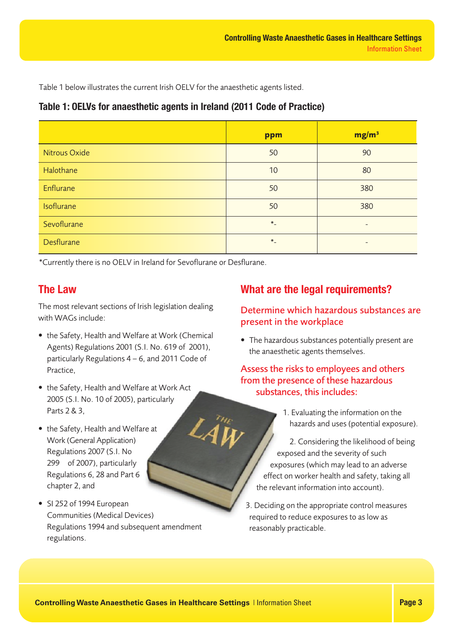Table 1 below illustrates the current Irish OELV for the anaesthetic agents listed.

## **Table 1: OELVs for anaesthetic agents in Ireland (2011 Code of Practice)**

|                   | ppm     | mg/m <sup>3</sup>        |
|-------------------|---------|--------------------------|
| Nitrous Oxide     | 50      | 90                       |
| Halothane         | 10      | 80                       |
| Enflurane         | 50      | 380                      |
| Isoflurane        | 50      | 380                      |
| Sevoflurane       | $*_{-}$ | $\overline{\phantom{0}}$ |
| <b>Desflurane</b> | $*_{-}$ |                          |

\*Currently there is no OELV in Ireland for Sevoflurane or Desflurane.

# **The Law**

The most relevant sections of Irish legislation dealing with WAGs include:

- the Safety, Health and Welfare at Work (Chemical Agents) Regulations 2001 (S.I. No. 619 of 2001), particularly Regulations 4 – 6, and 2011 Code of Practice,
- the Safety, Health and Welfare at Work Act 2005 (S.I. No. 10 of 2005), particularly Parts 2 & 3,
- the Safety, Health and Welfare at Work (General Application) Regulations 2007 (S.I. No 299 of 2007), particularly Regulations 6, 28 and Part 6 chapter 2, and
- SI 252 of 1994 European Communities (Medical Devices) Regulations 1994 and subsequent amendment regulations.

# **What are the legal requirements?**

## Determine which hazardous substances are present in the workplace

• The hazardous substances potentially present are the anaesthetic agents themselves.

## Assess the risks to employees and others from the presence of these hazardous substances, this includes:

1. Evaluating the information on the hazards and uses (potential exposure).

2. Considering the likelihood of being exposed and the severity of such exposures (which may lead to an adverse effect on worker health and safety, taking all the relevant information into account).

3. Deciding on the appropriate control measures required to reduce exposures to as low as reasonably practicable.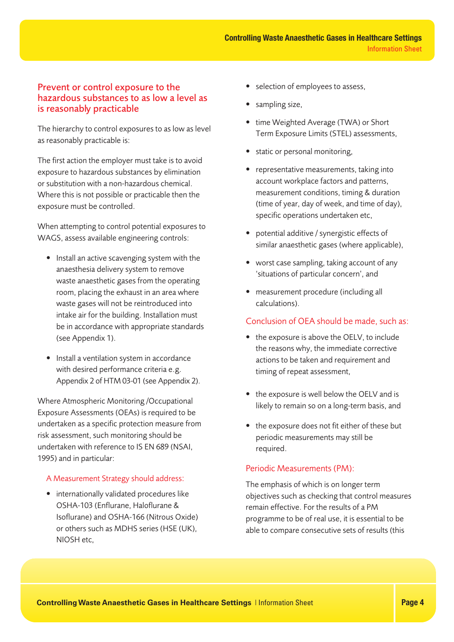### Prevent or control exposure to the hazardous substances to as low a level as is reasonably practicable

The hierarchy to control exposures to as low as level as reasonably practicable is:

The first action the employer must take is to avoid exposure to hazardous substances by elimination or substitution with a non-hazardous chemical. Where this is not possible or practicable then the exposure must be controlled.

When attempting to control potential exposures to WAGS, assess available engineering controls:

- Install an active scavenging system with the anaesthesia delivery system to remove waste anaesthetic gases from the operating room, placing the exhaust in an area where waste gases will not be reintroduced into intake air for the building. Installation must be in accordance with appropriate standards (see Appendix 1).
- Install a ventilation system in accordance with desired performance criteria e.g. Appendix 2 of HTM 03-01 (see Appendix 2).

Where Atmospheric Monitoring /Occupational Exposure Assessments (OEAs) is required to be undertaken as a specific protection measure from risk assessment, such monitoring should be undertaken with reference to IS EN 689 (NSAI, 1995) and in particular:

#### A Measurement Strategy should address:

• internationally validated procedures like OSHA-103 (Enflurane, Haloflurane & Isoflurane) and OSHA-166 (Nitrous Oxide) or others such as MDHS series (HSE (UK), NIOSH etc,

- selection of employees to assess,
- sampling size,
- time Weighted Average (TWA) or Short Term Exposure Limits (STEL) assessments,
- static or personal monitoring,
- representative measurements, taking into account workplace factors and patterns, measurement conditions, timing & duration (time of year, day of week, and time of day), specific operations undertaken etc,
- potential additive / synergistic effects of similar anaesthetic gases (where applicable),
- worst case sampling, taking account of any 'situations of particular concern', and
- measurement procedure (including all calculations).

#### Conclusion of OEA should be made, such as:

- the exposure is above the OELV, to include the reasons why, the immediate corrective actions to be taken and requirement and timing of repeat assessment,
- the exposure is well below the OELV and is likely to remain so on a long-term basis, and
- the exposure does not fit either of these but periodic measurements may still be required.

#### Periodic Measurements (PM):

The emphasis of which is on longer term objectives such as checking that control measures remain effective. For the results of a PM programme to be of real use, it is essential to be able to compare consecutive sets of results (this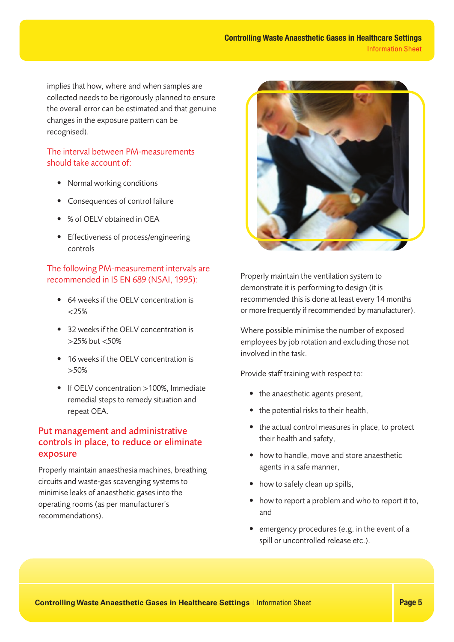implies that how, where and when samples are collected needs to be rigorously planned to ensure the overall error can be estimated and that genuine changes in the exposure pattern can be recognised).

#### The interval between PM-measurements should take account of:

- Normal working conditions
- Consequences of control failure
- % of OELV obtained in OEA
- Effectiveness of process/engineering controls

#### The following PM-measurement intervals are recommended in IS EN 689 (NSAI, 1995):

- 64 weeks if the OFLV concentration is  $< 25\%$
- 32 weeks if the OELV concentration is >25% but <50%
- 16 weeks if the OELV concentration is >50%
- If OELV concentration >100%, Immediate remedial steps to remedy situation and repeat OEA.

## Put management and administrative controls in place, to reduce or eliminate exposure

Properly maintain anaesthesia machines, breathing circuits and waste-gas scavenging systems to minimise leaks of anaesthetic gases into the operating rooms (as per manufacturer's recommendations).



Properly maintain the ventilation system to demonstrate it is performing to design (it is recommended this is done at least every 14 months or more frequently if recommended by manufacturer).

Where possible minimise the number of exposed employees by job rotation and excluding those not involved in the task.

Provide staff training with respect to:

- the anaesthetic agents present,
- the potential risks to their health,
- the actual control measures in place, to protect their health and safety,
- how to handle, move and store anaesthetic agents in a safe manner,
- how to safely clean up spills,
- how to report a problem and who to report it to, and
- emergency procedures (e.g. in the event of a spill or uncontrolled release etc.).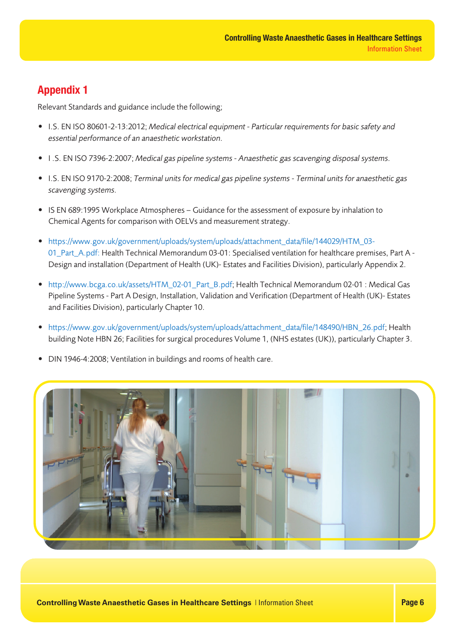# **Appendix 1**

Relevant Standards and guidance include the following;

- I.S. EN ISO 80601-2-13:2012; Medical electrical equipment Particular requirements for basic safety and essential performance of an anaesthetic workstation.
- I .S. EN ISO 7396-2:2007; Medical gas pipeline systems Anaesthetic gas scavenging disposal systems.
- I.S. EN ISO 9170-2:2008; Terminal units for medical gas pipeline systems Terminal units for anaesthetic gas scavenging systems.
- IS EN 689:1995 Workplace Atmospheres Guidance for the assessment of exposure by inhalation to Chemical Agents for comparison with OELVs and measurement strategy.
- https://www.gov.uk/government/uploads/system/uploads/attachment\_data/file/144029/HTM\_03- 01\_Part\_A.pdf: Health Technical Memorandum 03-01: Specialised ventilation for healthcare premises, Part A - Design and installation (Department of Health (UK)- Estates and Facilities Division), particularly Appendix 2.
- http://www.bcga.co.uk/assets/HTM\_02-01\_Part\_B.pdf; Health Technical Memorandum 02-01 : Medical Gas Pipeline Systems - Part A Design, Installation, Validation and Verification (Department of Health (UK)- Estates and Facilities Division), particularly Chapter 10.
- https://www.gov.uk/government/uploads/system/uploads/attachment\_data/file/148490/HBN\_26.pdf; Health building Note HBN 26; Facilities for surgical procedures Volume 1, (NHS estates (UK)), particularly Chapter 3.
- DIN 1946-4:2008; Ventilation in buildings and rooms of health care.